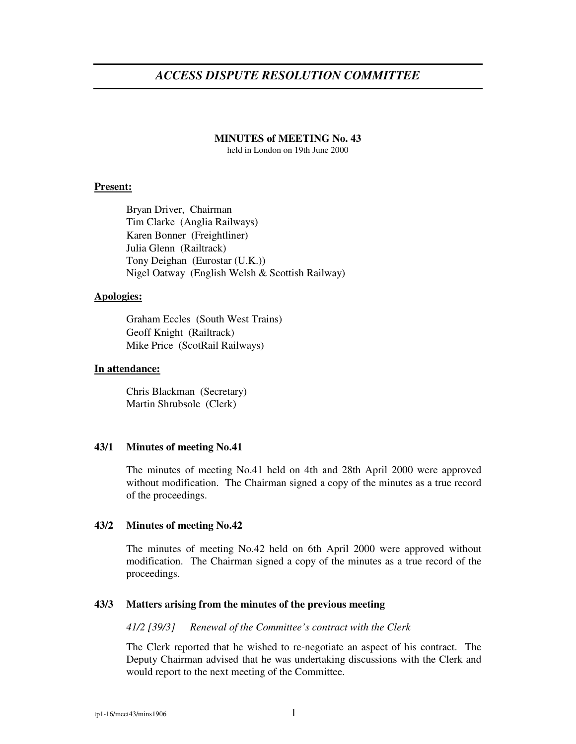# *ACCESS DISPUTE RESOLUTION COMMITTEE*

## **MINUTES of MEETING No. 43**

held in London on 19th June 2000

# **Present:**

Bryan Driver, Chairman Tim Clarke (Anglia Railways) Karen Bonner (Freightliner) Julia Glenn (Railtrack) Tony Deighan (Eurostar (U.K.)) Nigel Oatway (English Welsh & Scottish Railway)

#### **Apologies:**

Graham Eccles (South West Trains) Geoff Knight (Railtrack) Mike Price (ScotRail Railways)

## **In attendance:**

Chris Blackman (Secretary) Martin Shrubsole (Clerk)

## **43/1 Minutes of meeting No.41**

The minutes of meeting No.41 held on 4th and 28th April 2000 were approved without modification. The Chairman signed a copy of the minutes as a true record of the proceedings.

## **43/2 Minutes of meeting No.42**

The minutes of meeting No.42 held on 6th April 2000 were approved without modification. The Chairman signed a copy of the minutes as a true record of the proceedings.

## **43/3 Matters arising from the minutes of the previous meeting**

*41/2 [39/3] Renewal of the Committee's contract with the Clerk*

The Clerk reported that he wished to re-negotiate an aspect of his contract. The Deputy Chairman advised that he was undertaking discussions with the Clerk and would report to the next meeting of the Committee.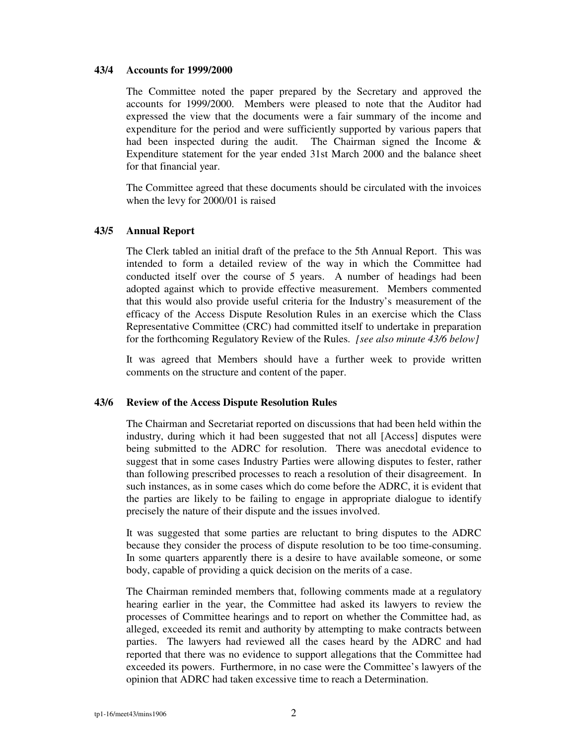### **43/4 Accounts for 1999/2000**

The Committee noted the paper prepared by the Secretary and approved the accounts for 1999/2000. Members were pleased to note that the Auditor had expressed the view that the documents were a fair summary of the income and expenditure for the period and were sufficiently supported by various papers that had been inspected during the audit. The Chairman signed the Income  $\&$ Expenditure statement for the year ended 31st March 2000 and the balance sheet for that financial year.

The Committee agreed that these documents should be circulated with the invoices when the levy for 2000/01 is raised

#### **43/5 Annual Report**

The Clerk tabled an initial draft of the preface to the 5th Annual Report. This was intended to form a detailed review of the way in which the Committee had conducted itself over the course of 5 years. A number of headings had been adopted against which to provide effective measurement. Members commented that this would also provide useful criteria for the Industry's measurement of the efficacy of the Access Dispute Resolution Rules in an exercise which the Class Representative Committee (CRC) had committed itself to undertake in preparation for the forthcoming Regulatory Review of the Rules. *[see also minute 43/6 below]*

It was agreed that Members should have a further week to provide written comments on the structure and content of the paper.

## **43/6 Review of the Access Dispute Resolution Rules**

The Chairman and Secretariat reported on discussions that had been held within the industry, during which it had been suggested that not all [Access] disputes were being submitted to the ADRC for resolution. There was anecdotal evidence to suggest that in some cases Industry Parties were allowing disputes to fester, rather than following prescribed processes to reach a resolution of their disagreement. In such instances, as in some cases which do come before the ADRC, it is evident that the parties are likely to be failing to engage in appropriate dialogue to identify precisely the nature of their dispute and the issues involved.

It was suggested that some parties are reluctant to bring disputes to the ADRC because they consider the process of dispute resolution to be too time-consuming. In some quarters apparently there is a desire to have available someone, or some body, capable of providing a quick decision on the merits of a case.

The Chairman reminded members that, following comments made at a regulatory hearing earlier in the year, the Committee had asked its lawyers to review the processes of Committee hearings and to report on whether the Committee had, as alleged, exceeded its remit and authority by attempting to make contracts between parties. The lawyers had reviewed all the cases heard by the ADRC and had reported that there was no evidence to support allegations that the Committee had exceeded its powers. Furthermore, in no case were the Committee's lawyers of the opinion that ADRC had taken excessive time to reach a Determination.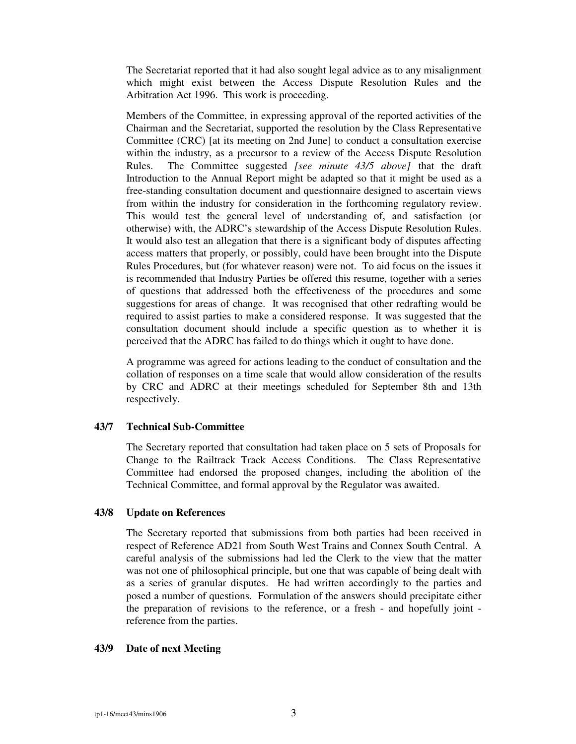The Secretariat reported that it had also sought legal advice as to any misalignment which might exist between the Access Dispute Resolution Rules and the Arbitration Act 1996. This work is proceeding.

Members of the Committee, in expressing approval of the reported activities of the Chairman and the Secretariat, supported the resolution by the Class Representative Committee (CRC) [at its meeting on 2nd June] to conduct a consultation exercise within the industry, as a precursor to a review of the Access Dispute Resolution Rules. The Committee suggested *[see minute 43/5 above]* that the draft Introduction to the Annual Report might be adapted so that it might be used as a free-standing consultation document and questionnaire designed to ascertain views from within the industry for consideration in the forthcoming regulatory review. This would test the general level of understanding of, and satisfaction (or otherwise) with, the ADRC's stewardship of the Access Dispute Resolution Rules. It would also test an allegation that there is a significant body of disputes affecting access matters that properly, or possibly, could have been brought into the Dispute Rules Procedures, but (for whatever reason) were not. To aid focus on the issues it is recommended that Industry Parties be offered this resume, together with a series of questions that addressed both the effectiveness of the procedures and some suggestions for areas of change. It was recognised that other redrafting would be required to assist parties to make a considered response. It was suggested that the consultation document should include a specific question as to whether it is perceived that the ADRC has failed to do things which it ought to have done.

A programme was agreed for actions leading to the conduct of consultation and the collation of responses on a time scale that would allow consideration of the results by CRC and ADRC at their meetings scheduled for September 8th and 13th respectively.

## **43/7 Technical Sub-Committee**

The Secretary reported that consultation had taken place on 5 sets of Proposals for Change to the Railtrack Track Access Conditions. The Class Representative Committee had endorsed the proposed changes, including the abolition of the Technical Committee, and formal approval by the Regulator was awaited.

## **43/8 Update on References**

The Secretary reported that submissions from both parties had been received in respect of Reference AD21 from South West Trains and Connex South Central. A careful analysis of the submissions had led the Clerk to the view that the matter was not one of philosophical principle, but one that was capable of being dealt with as a series of granular disputes. He had written accordingly to the parties and posed a number of questions. Formulation of the answers should precipitate either the preparation of revisions to the reference, or a fresh - and hopefully joint reference from the parties.

## **43/9 Date of next Meeting**